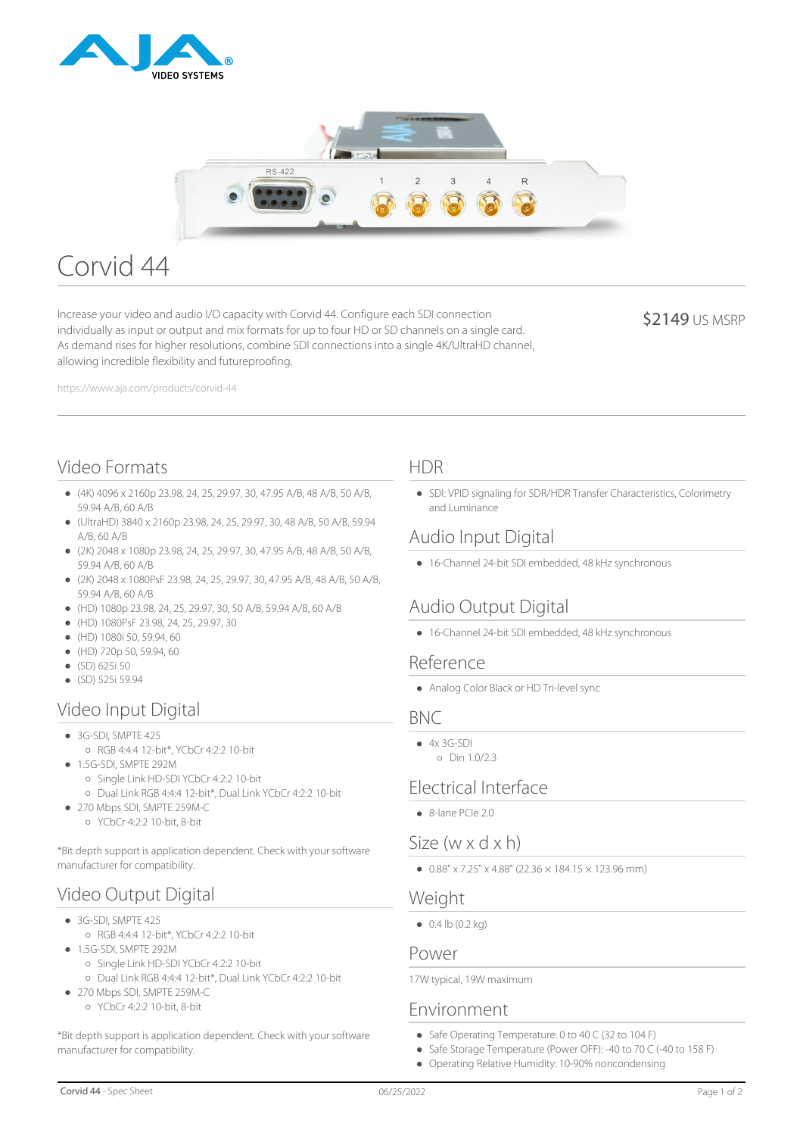



# Corvid 44

Increase your video and audio I/O capacity with Corvid 44. Configure each SDI connection individually as input or output and mix formats for up to four HD or SD channels on a single card. As demand rises for higher resolutions, combine SDI connections into a single 4K/UltraHD channel, allowing incredible flexibility and futureproofing.

**\$2149 US MSRP** 

https://www.aja.com/products/corvid-44

## Video Formats

- (4K) 4096 x 2160p 23.98, 24, 25, 29.97, 30, 47.95 A/B, 48 A/B, 50 A/B, 59.94 A/B, 60 A/B
- (UltraHD) 3840 x 2160p 23.98, 24, 25, 29.97, 30, 48 A/B, 50 A/B, 59.94 A/B, 60 A/B
- (2K) 2048 x 1080p 23.98, 24, 25, 29.97, 30, 47.95 A/B, 48 A/B, 50 A/B, 59.94 A/B, 60 A/B
- (2K) 2048 x 1080PsF 23.98, 24, 25, 29.97, 30, 47.95 A/B, 48 A/B, 50 A/B, 59.94 A/B, 60 A/B
- (HD) 1080p 23.98, 24, 25, 29.97, 30, 50 A/B, 59.94 A/B, 60 A/B
- (HD) 1080PsF 23.98, 24, 25, 29.97, 30
- (HD) 1080i 50, 59.94, 60
- (HD) 720p 50, 59.94, 60
- $\bullet$  (SD) 625i 50
- $(SD)$  525i 59.94

## Video Input Digital

#### $\bullet$  3G-SDI, SMPTF 425

- RGB 4:4:4 12-bit\*, YCbCr 4:2:2 10-bit
- 1.5G-SDI, SMPTE 292M
	- Single Link HD-SDI YCbCr 4:2:2 10-bit
	- Dual Link RGB 4:4:4 12-bit\*, Dual Link YCbCr 4:2:2 10-bit
- 270 Mbps SDI, SMPTE 259M-C YCbCr 4:2:2 10-bit, 8-bit

\*Bit depth support is application dependent. Check with your software manufacturer for compatibility.

## Video Output Digital

- 3G-SDI, SMPTE 425
	- RGB 4:4:4 12-bit\*, YCbCr 4:2:2 10-bit
- 1.5G-SDI, SMPTE 292M
	- Single Link HD-SDI YCbCr 4:2:2 10-bit
	- Dual Link RGB 4:4:4 12-bit\*, Dual Link YCbCr 4:2:2 10-bit
- 270 Mbps SDI, SMPTE 259M-C YCbCr 4:2:2 10-bit, 8-bit

\*Bit depth support is application dependent. Check with your software manufacturer for compatibility.

#### HDR

• SDI: VPID signaling for SDR/HDR Transfer Characteristics, Colorimetry and Luminance

## Audio Input Digital

16-Channel 24-bit SDI embedded, 48 kHz synchronous

## Audio Output Digital

16-Channel 24-bit SDI embedded, 48 kHz synchronous

#### Reference

Analog Color Black or HD Tri-level sync

#### **BNC**

 $4x 3G-5D1$ Din 1.0/2.3

## Electrical Interface

 $\bullet$  8-lane PCIe 2.0

## Size (w x d x h)

 $\bullet$  0.88" x 7.25" x 4.88" (22.36  $\times$  184.15  $\times$  123.96 mm)

### **Weight**

 $\bullet$  0.4 lb (0.2 kg)

#### Power

17W typical, 19W maximum

### Environment

- Safe Operating Temperature: 0 to 40 C (32 to 104 F)
- Safe Storage Temperature (Power OFF): -40 to 70 C (-40 to 158 F)
- Operating Relative Humidity: 10-90% noncondensing